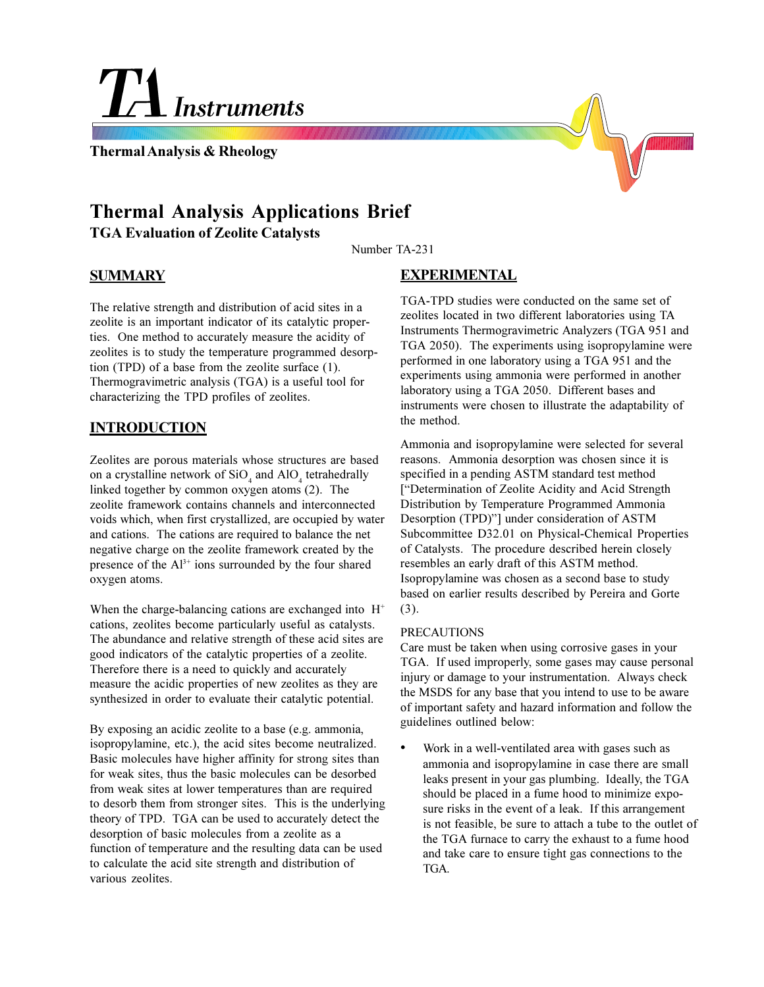# **Instruments**

**Thermal Analysis & Rheology**

# **Thermal Analysis Applications Brief TGA Evaluation of Zeolite Catalysts**

Number TA-231

## **SUMMARY**

The relative strength and distribution of acid sites in a zeolite is an important indicator of its catalytic properties. One method to accurately measure the acidity of zeolites is to study the temperature programmed desorption (TPD) of a base from the zeolite surface (1). Thermogravimetric analysis (TGA) is a useful tool for characterizing the TPD profiles of zeolites.

## **INTRODUCTION**

Zeolites are porous materials whose structures are based on a crystalline network of  $SiO_4$  and  $AlO_4$  tetrahedrally linked together by common oxygen atoms (2). The zeolite framework contains channels and interconnected voids which, when first crystallized, are occupied by water and cations. The cations are required to balance the net negative charge on the zeolite framework created by the presence of the  $Al^{3+}$  ions surrounded by the four shared oxygen atoms.

When the charge-balancing cations are exchanged into  $H^+$ cations, zeolites become particularly useful as catalysts. The abundance and relative strength of these acid sites are good indicators of the catalytic properties of a zeolite. Therefore there is a need to quickly and accurately measure the acidic properties of new zeolites as they are synthesized in order to evaluate their catalytic potential.

By exposing an acidic zeolite to a base (e.g. ammonia, isopropylamine, etc.), the acid sites become neutralized. Basic molecules have higher affinity for strong sites than for weak sites, thus the basic molecules can be desorbed from weak sites at lower temperatures than are required to desorb them from stronger sites. This is the underlying theory of TPD. TGA can be used to accurately detect the desorption of basic molecules from a zeolite as a function of temperature and the resulting data can be used to calculate the acid site strength and distribution of various zeolites.

## **EXPERIMENTAL**

TGA-TPD studies were conducted on the same set of zeolites located in two different laboratories using TA Instruments Thermogravimetric Analyzers (TGA 951 and TGA 2050). The experiments using isopropylamine were performed in one laboratory using a TGA 951 and the experiments using ammonia were performed in another laboratory using a TGA 2050. Different bases and instruments were chosen to illustrate the adaptability of the method.

Ammonia and isopropylamine were selected for several reasons. Ammonia desorption was chosen since it is specified in a pending ASTM standard test method [Determination of Zeolite Acidity and Acid Strength Distribution by Temperature Programmed Ammonia Desorption (TPD)"] under consideration of ASTM Subcommittee D32.01 on Physical-Chemical Properties of Catalysts. The procedure described herein closely resembles an early draft of this ASTM method. Isopropylamine was chosen as a second base to study based on earlier results described by Pereira and Gorte (3).

#### PRECAUTIONS

Care must be taken when using corrosive gases in your TGA. If used improperly, some gases may cause personal injury or damage to your instrumentation. Always check the MSDS for any base that you intend to use to be aware of important safety and hazard information and follow the guidelines outlined below:

 Work in a well-ventilated area with gases such as ammonia and isopropylamine in case there are small leaks present in your gas plumbing. Ideally, the TGA should be placed in a fume hood to minimize exposure risks in the event of a leak. If this arrangement is not feasible, be sure to attach a tube to the outlet of the TGA furnace to carry the exhaust to a fume hood and take care to ensure tight gas connections to the TGA.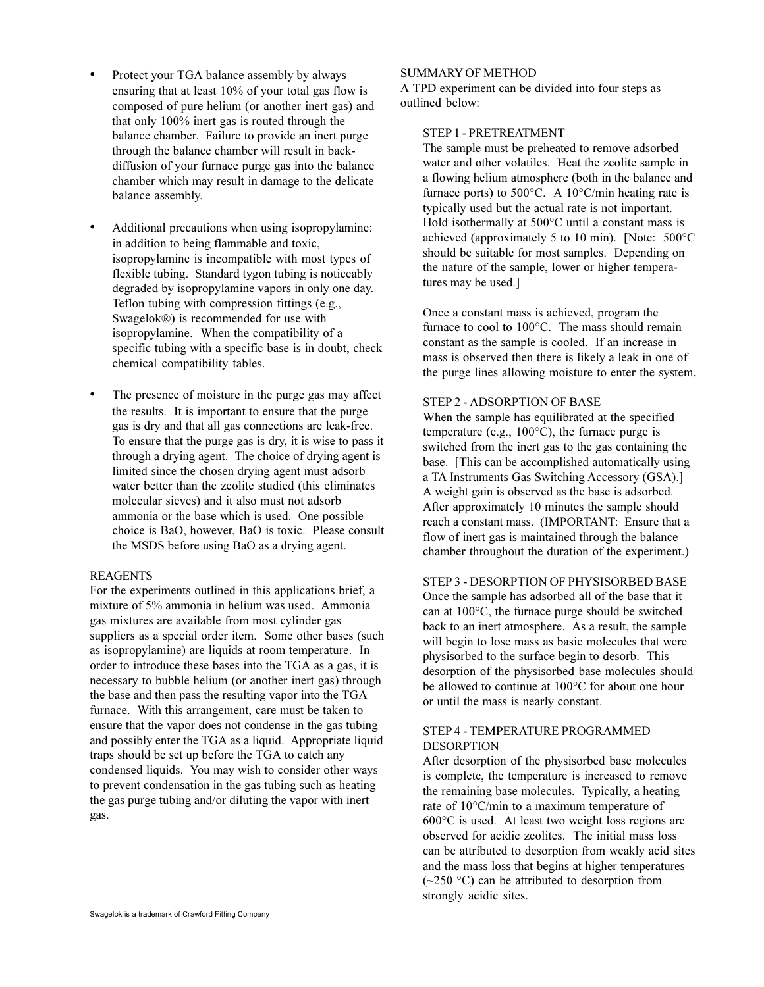- Protect your TGA balance assembly by always ensuring that at least 10% of your total gas flow is composed of pure helium (or another inert gas) and that only 100% inert gas is routed through the balance chamber. Failure to provide an inert purge through the balance chamber will result in backdiffusion of your furnace purge gas into the balance chamber which may result in damage to the delicate balance assembly.
- Additional precautions when using isopropylamine: in addition to being flammable and toxic, isopropylamine is incompatible with most types of flexible tubing. Standard tygon tubing is noticeably degraded by isopropylamine vapors in only one day. Teflon tubing with compression fittings (e.g., Swagelok®) is recommended for use with isopropylamine. When the compatibility of a specific tubing with a specific base is in doubt, check chemical compatibility tables.
- The presence of moisture in the purge gas may affect the results. It is important to ensure that the purge gas is dry and that all gas connections are leak-free. To ensure that the purge gas is dry, it is wise to pass it through a drying agent. The choice of drying agent is limited since the chosen drying agent must adsorb water better than the zeolite studied (this eliminates molecular sieves) and it also must not adsorb ammonia or the base which is used. One possible choice is BaO, however, BaO is toxic. Please consult the MSDS before using BaO as a drying agent.

#### REAGENTS

For the experiments outlined in this applications brief, a mixture of 5% ammonia in helium was used. Ammonia gas mixtures are available from most cylinder gas suppliers as a special order item. Some other bases (such as isopropylamine) are liquids at room temperature. In order to introduce these bases into the TGA as a gas, it is necessary to bubble helium (or another inert gas) through the base and then pass the resulting vapor into the TGA furnace. With this arrangement, care must be taken to ensure that the vapor does not condense in the gas tubing and possibly enter the TGA as a liquid. Appropriate liquid traps should be set up before the TGA to catch any condensed liquids. You may wish to consider other ways to prevent condensation in the gas tubing such as heating the gas purge tubing and/or diluting the vapor with inert gas.

#### SUMMARY OF METHOD

A TPD experiment can be divided into four steps as outlined below:

#### STEP 1 - PRETREATMENT

The sample must be preheated to remove adsorbed water and other volatiles. Heat the zeolite sample in a flowing helium atmosphere (both in the balance and furnace ports) to  $500^{\circ}$ C. A  $10^{\circ}$ C/min heating rate is typically used but the actual rate is not important. Hold isothermally at 500°C until a constant mass is achieved (approximately 5 to 10 min). [Note: 500°C should be suitable for most samples. Depending on the nature of the sample, lower or higher temperatures may be used.]

Once a constant mass is achieved, program the furnace to cool to 100°C. The mass should remain constant as the sample is cooled. If an increase in mass is observed then there is likely a leak in one of the purge lines allowing moisture to enter the system.

#### STEP 2 - ADSORPTION OF BASE

When the sample has equilibrated at the specified temperature (e.g., 100°C), the furnace purge is switched from the inert gas to the gas containing the base. [This can be accomplished automatically using a TA Instruments Gas Switching Accessory (GSA).] A weight gain is observed as the base is adsorbed. After approximately 10 minutes the sample should reach a constant mass. (IMPORTANT: Ensure that a flow of inert gas is maintained through the balance chamber throughout the duration of the experiment.)

#### STEP 3 - DESORPTION OF PHYSISORBED BASE

Once the sample has adsorbed all of the base that it can at 100°C, the furnace purge should be switched back to an inert atmosphere. As a result, the sample will begin to lose mass as basic molecules that were physisorbed to the surface begin to desorb. This desorption of the physisorbed base molecules should be allowed to continue at 100°C for about one hour or until the mass is nearly constant.

#### STEP 4 - TEMPERATURE PROGRAMMED DESORPTION

After desorption of the physisorbed base molecules is complete, the temperature is increased to remove the remaining base molecules. Typically, a heating rate of 10°C/min to a maximum temperature of 600°C is used. At least two weight loss regions are observed for acidic zeolites. The initial mass loss can be attributed to desorption from weakly acid sites and the mass loss that begins at higher temperatures  $(-250 \degree C)$  can be attributed to desorption from strongly acidic sites.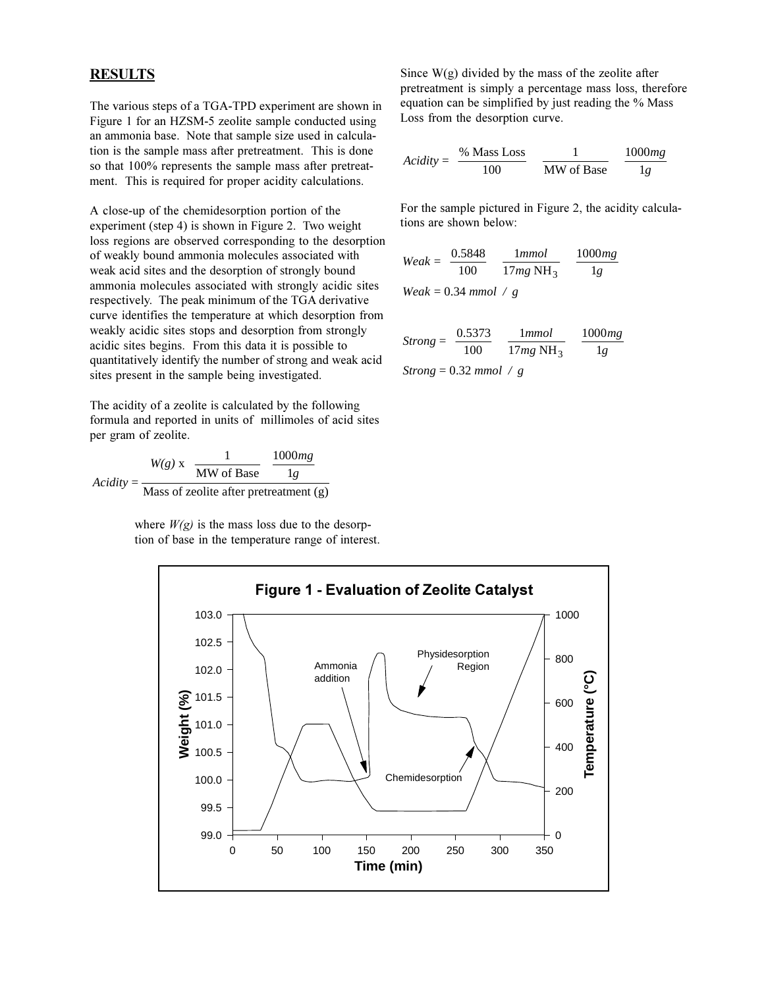## **RESULTS**

The various steps of a TGA-TPD experiment are shown in Figure 1 for an HZSM-5 zeolite sample conducted using an ammonia base. Note that sample size used in calculation is the sample mass after pretreatment. This is done so that 100% represents the sample mass after pretreatment. This is required for proper acidity calculations.

A close-up of the chemidesorption portion of the experiment (step 4) is shown in Figure 2. Two weight loss regions are observed corresponding to the desorption of weakly bound ammonia molecules associated with weak acid sites and the desorption of strongly bound ammonia molecules associated with strongly acidic sites respectively. The peak minimum of the TGA derivative curve identifies the temperature at which desorption from weakly acidic sites stops and desorption from strongly acidic sites begins. From this data it is possible to quantitatively identify the number of strong and weak acid sites present in the sample being investigated.

The acidity of a zeolite is calculated by the following formula and reported in units of millimoles of acid sites per gram of zeolite.

*Acidity*  $W(g)$  x  $\left(\frac{1}{2\pi\epsilon_0}\right)\frac{1000mg}{1000mg}$  $=\frac{1}{2}$  MW of Base  $\sqrt{1g}$  $x \left( \frac{1}{M W \text{ of Base}} \right)$ 1000 1 Mass of zeolite after pretreatment (g) ſ  $\left(\frac{1}{\text{MW of Base}}\right)$  $\left(\frac{1000mg}{1g}\right)$ 

> where  $W(g)$  is the mass loss due to the desorption of base in the temperature range of interest.

Since  $W(g)$  divided by the mass of the zeolite after pretreatment is simply a percentage mass loss, therefore equation can be simplified by just reading the % Mass Loss from the desorption curve.

$$
Acidity = \left(\frac{\% \text{ Mass Loss}}{100}\right) \left(\frac{1}{\text{MW of Base}}\right) \left(\frac{1000mg}{1g}\right)
$$

For the sample pictured in Figure 2, the acidity calculations are shown below:

$$
Weak = \left(\frac{0.5848}{100}\right) \left(\frac{1mmol}{17mg \text{ NH}_3}\right) \left(\frac{1000mg}{1g}\right)
$$

 $Weak = 0.34 \text{ mmol} / g$ 

$$
Strong = \left(\frac{0.5373}{100}\right) \left(\frac{1mmol}{17mg \text{ NH}_3}\right) \left(\frac{1000mg}{1g}\right)
$$
  
Strong = 0.32 mmol / g

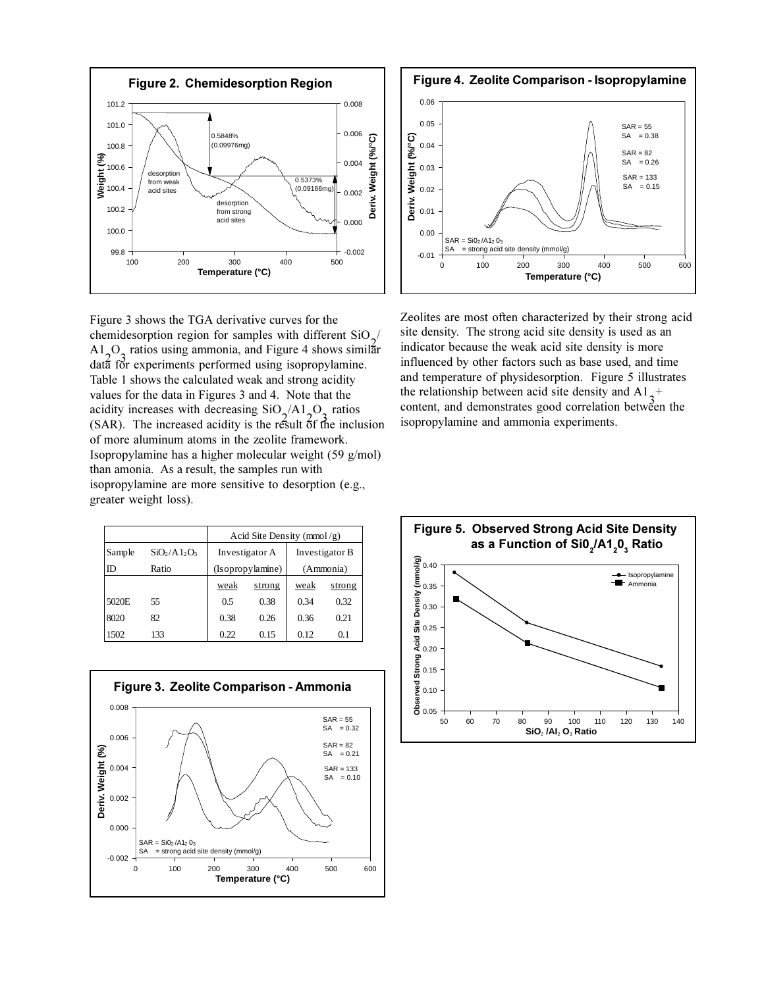

Figure 3 shows the TGA derivative curves for the chemidesorption region for samples with different  $\text{SiO}_2$ /<br>A L Q ratios using ammonia, and Figure 4 shows similar  $A1_{2}$ O<sub>3</sub> ratios using ammonia, and Figure 4 shows similar data for experiments performed using isopropylamine. Table 1 shows the calculated weak and strong acidity values for the data in Figures 3 and 4. Note that the acidity increases with decreasing  $SiO_2/A1_O$  ratios<br>(SAP) The increased acidity is the rapid of the inclu  $(SAR)$ . The increased acidity is the result of the inclusion of more aluminum atoms in the zeolite framework. Isopropylamine has a higher molecular weight (59 g/mol) than amonia. As a result, the samples run with isopropylamine are more sensitive to desorption (e.g., greater weight loss).

|        |                 | Acid Site Density ( $mmol/g$ ) |        |                |        |
|--------|-----------------|--------------------------------|--------|----------------|--------|
| Sample | $SiO_2/A1_2O_3$ | Investigator A                 |        | Investigator B |        |
| ID     | Ratio           | (Isopropylamine)               |        | (Ammonia)      |        |
|        |                 | weak                           | strong | weak           | strong |
| 5020E  | 55              | 0.5                            | 0.38   | 0.34           | 0.32   |
| 8020   | 82              | 0.38                           | 0.26   | 0.36           | 0.21   |
| 1502   | 133             | 0.22                           | 0.15   | 0.12           | 0.1    |





Zeolites are most often characterized by their strong acid site density. The strong acid site density is used as an indicator because the weak acid site density is more influenced by other factors such as base used, and time and temperature of physidesorption. Figure 5 illustrates the relationship between acid site density and  $A1_{3}^{+}$ <br>content, and demonstrates good correlation between content, and demonstrates good correlation between the isopropylamine and ammonia experiments.